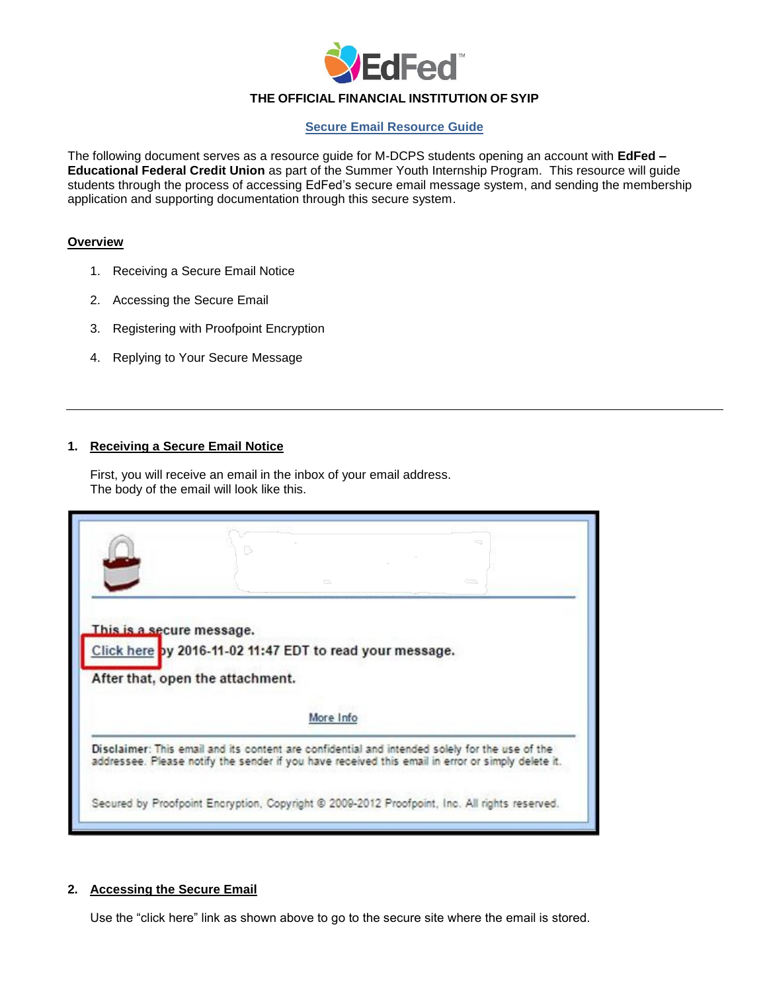

# **THE OFFICIAL FINANCIAL INSTITUTION OF SYIP**

### **Secure Email Resource Guide**

The following document serves as a resource guide for M-DCPS students opening an account with **EdFed – Educational Federal Credit Union** as part of the Summer Youth Internship Program. This resource will guide students through the process of accessing EdFed's secure email message system, and sending the membership application and supporting documentation through this secure system.

#### **Overview**

- 1. Receiving a Secure Email Notice
- 2. Accessing the Secure Email
- 3. Registering with Proofpoint Encryption
- 4. Replying to Your Secure Message

## **1. Receiving a Secure Email Notice**

First, you will receive an email in the inbox of your email address. The body of the email will look like this.

| This is a secure message. |                                                          |                                                                                                                                                                                                     |
|---------------------------|----------------------------------------------------------|-----------------------------------------------------------------------------------------------------------------------------------------------------------------------------------------------------|
|                           | Click here by 2016-11-02 11:47 EDT to read your message. |                                                                                                                                                                                                     |
|                           |                                                          |                                                                                                                                                                                                     |
|                           |                                                          |                                                                                                                                                                                                     |
|                           | After that, open the attachment.                         |                                                                                                                                                                                                     |
|                           |                                                          |                                                                                                                                                                                                     |
|                           |                                                          | More Info                                                                                                                                                                                           |
|                           |                                                          | Disclaimer: This email and its content are confidential and intended solely for the use of the<br>addressee. Please notify the sender if you have received this email in error or simply delete it. |

# **2. Accessing the Secure Email**

Use the "click here" link as shown above to go to the secure site where the email is stored.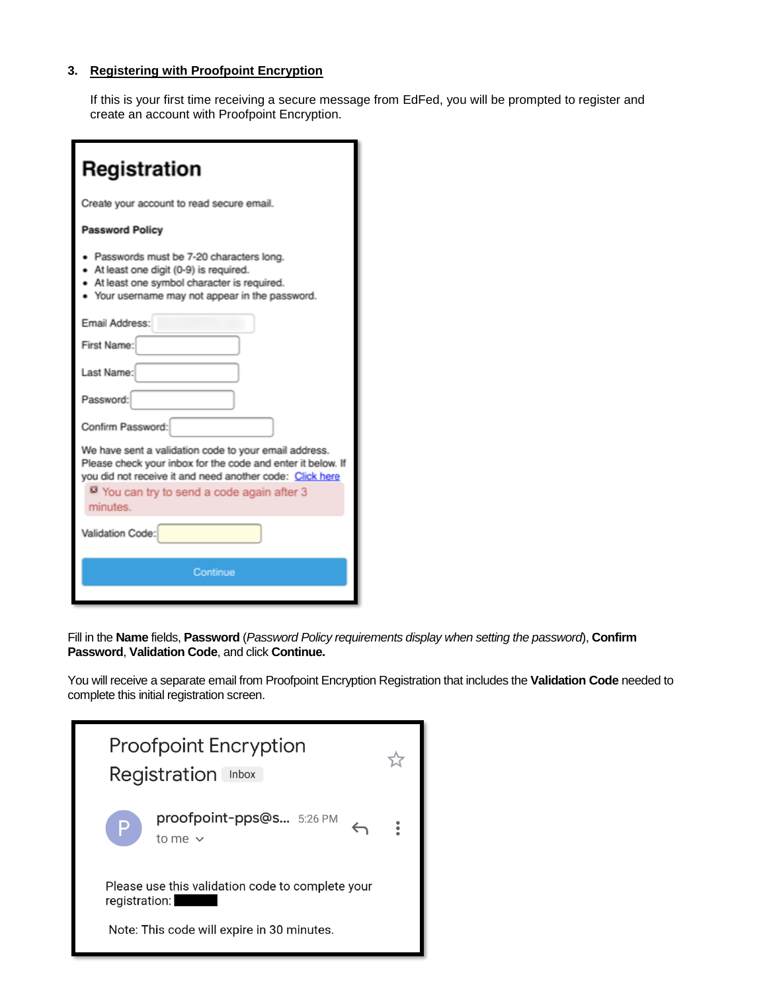# **3. Registering with Proofpoint Encryption**

If this is your first time receiving a secure message from EdFed, you will be prompted to register and create an account with Proofpoint Encryption.

| Registration                                                                                                                                                                                                                             |  |  |  |
|------------------------------------------------------------------------------------------------------------------------------------------------------------------------------------------------------------------------------------------|--|--|--|
| Create your account to read secure email.                                                                                                                                                                                                |  |  |  |
| <b>Password Policy</b>                                                                                                                                                                                                                   |  |  |  |
| · Passwords must be 7-20 characters long.<br>• At least one digit (0-9) is required.<br>At least one symbol character is required.<br>• Your username may not appear in the password.                                                    |  |  |  |
| Email Address:                                                                                                                                                                                                                           |  |  |  |
| First Name:                                                                                                                                                                                                                              |  |  |  |
| Last Name:                                                                                                                                                                                                                               |  |  |  |
| Password:                                                                                                                                                                                                                                |  |  |  |
| Confirm Password:                                                                                                                                                                                                                        |  |  |  |
| We have sent a validation code to your email address.<br>Please check your inbox for the code and enter it below. If<br>you did not receive it and need another code: Click here<br>You can try to send a code again after 3<br>minutes. |  |  |  |
| Validation Code:                                                                                                                                                                                                                         |  |  |  |
| Continue                                                                                                                                                                                                                                 |  |  |  |
|                                                                                                                                                                                                                                          |  |  |  |

Fill in the **Name** fields, **Password** (*Password Policy requirements display when setting the password*), **Confirm Password**, **Validation Code**, and click **Continue.** 

You will receive a separate email from Proofpoint Encryption Registration that includes the **Validation Code** needed to complete this initial registration screen.

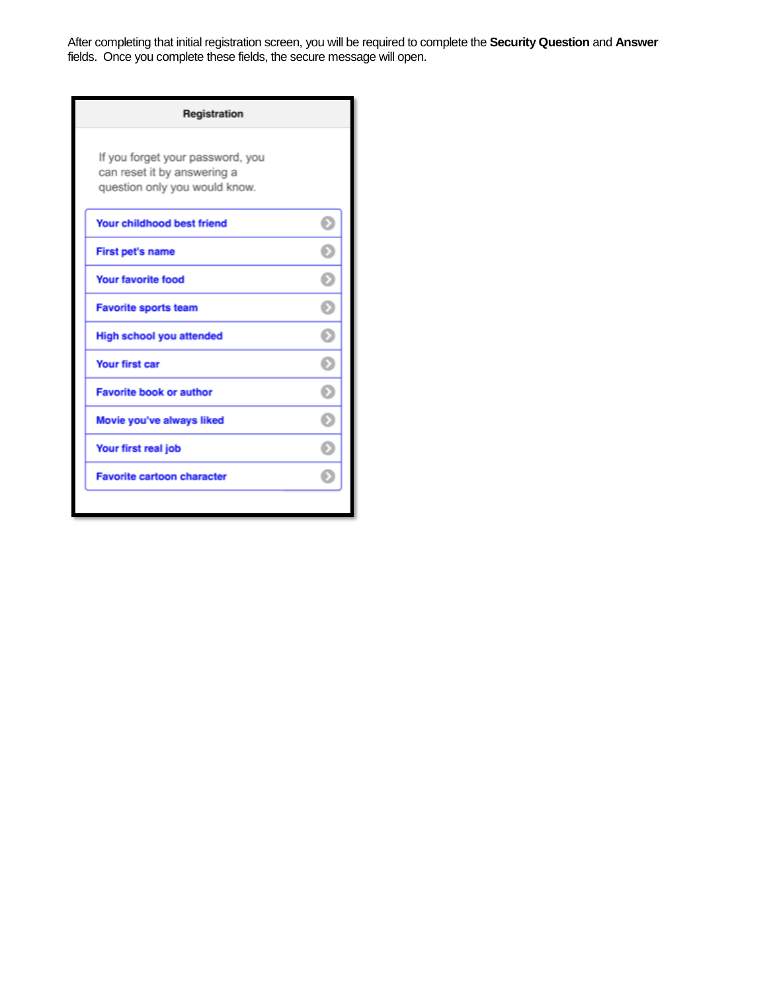After completing that initial registration screen, you will be required to complete the **Security Question** and **Answer** fields.Once you complete these fields, the secure message will open.

| Registration                                                                                     |  |
|--------------------------------------------------------------------------------------------------|--|
| If you forget your password, you<br>can reset it by answering a<br>question only you would know. |  |
| <b>Your childhood best friend</b>                                                                |  |
| <b>First pet's name</b>                                                                          |  |
| <b>Your favorite food</b>                                                                        |  |
| <b>Favorite sports team</b>                                                                      |  |
| <b>High school you attended</b>                                                                  |  |
| <b>Your first car</b>                                                                            |  |
| <b>Favorite book or author</b>                                                                   |  |
| Movie you've always liked                                                                        |  |
| Your first real job                                                                              |  |
| <b>Favorite cartoon character</b>                                                                |  |
|                                                                                                  |  |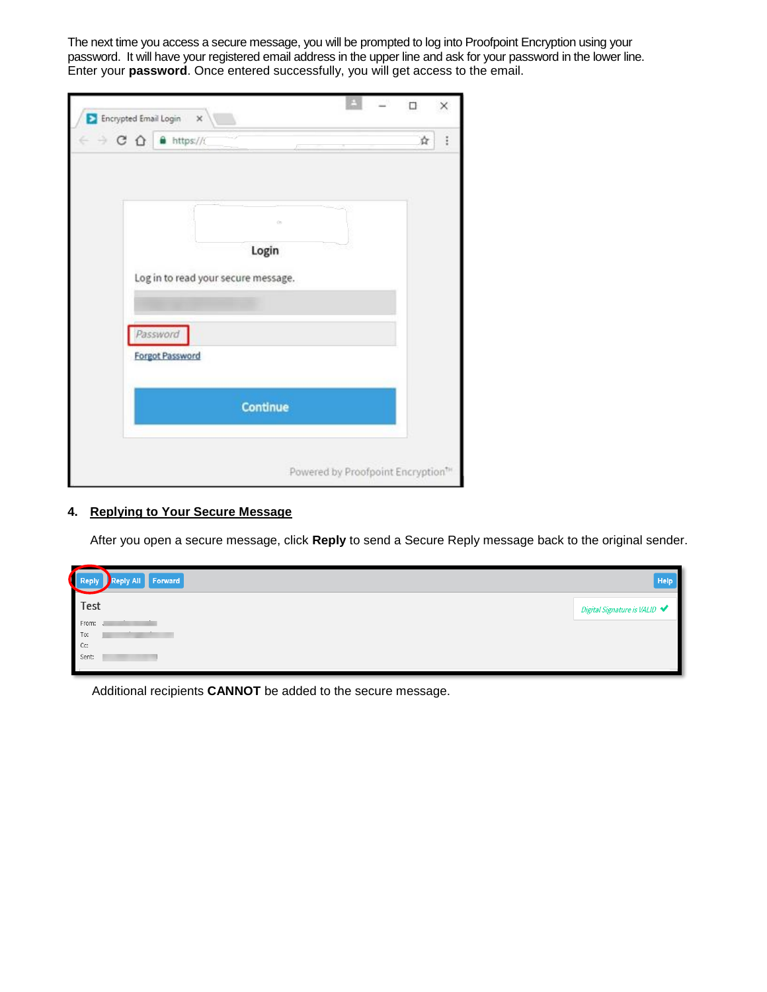The next time you access a secure message, you will be prompted to log into Proofpoint Encryption using your password. It will have your registered email address in the upper line and ask for your password in the lower line. Enter your **password**. Once entered successfully, you will get access to the email.

| Encrypted Email Login<br>$\times$                 |          |  |   |
|---------------------------------------------------|----------|--|---|
| $\leftarrow$ $\rightarrow$ C $\Omega$ a https://t |          |  | ☆ |
|                                                   |          |  |   |
|                                                   |          |  |   |
|                                                   |          |  |   |
|                                                   |          |  |   |
|                                                   | Login    |  |   |
| Log in to read your secure message.               |          |  |   |
|                                                   |          |  |   |
| Password                                          |          |  |   |
| <b>Forgot Password</b>                            |          |  |   |
|                                                   |          |  |   |
|                                                   |          |  |   |
|                                                   | Continue |  |   |
|                                                   |          |  |   |
|                                                   |          |  |   |

### **4. Replying to Your Secure Message**

After you open a secure message, click **Reply** to send a Secure Reply message back to the original sender.

| $\sim$<br>Reply Reply All Forward | Help                         |
|-----------------------------------|------------------------------|
| Test                              | Digital Signature is VALID ♥ |
| From:<br>To:                      |                              |
| Cc:<br>Sent:                      |                              |
|                                   |                              |

Additional recipients **CANNOT** be added to the secure message.